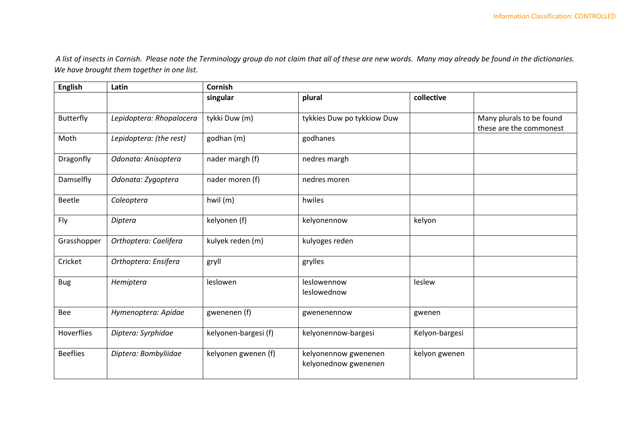*A list of insects in Cornish. Please note the Terminology group do not claim that all of these are new words. Many may already be found in the dictionaries. We have brought them together in one list.* 

| <b>English</b>    | Latin                    | <b>Cornish</b>       |                                              |                |                                                     |  |
|-------------------|--------------------------|----------------------|----------------------------------------------|----------------|-----------------------------------------------------|--|
|                   |                          | singular             | plural                                       | collective     |                                                     |  |
| Butterfly         | Lepidoptera: Rhopalocera | tykki Duw (m)        | tykkies Duw po tykkiow Duw                   |                | Many plurals to be found<br>these are the commonest |  |
| Moth              | Lepidoptera: (the rest)  | godhan (m)           | godhanes                                     |                |                                                     |  |
| Dragonfly         | Odonata: Anisoptera      | nader margh (f)      | nedres margh                                 |                |                                                     |  |
| Damselfly         | Odonata: Zygoptera       | nader moren (f)      | nedres moren                                 |                |                                                     |  |
| <b>Beetle</b>     | Coleoptera               | hwil (m)             | hwiles                                       |                |                                                     |  |
| Fly               | Diptera                  | kelyonen (f)         | kelyonennow                                  | kelyon         |                                                     |  |
| Grasshopper       | Orthoptera: Caelifera    | kulyek reden (m)     | kulyoges reden                               |                |                                                     |  |
| Cricket           | Orthoptera: Ensifera     | gryll                | grylles                                      |                |                                                     |  |
| <b>Bug</b>        | Hemiptera                | leslowen             | leslowennow<br>leslowednow                   | leslew         |                                                     |  |
| Bee               | Hymenoptera: Apidae      | gwenenen (f)         | gwenenennow                                  | gwenen         |                                                     |  |
| <b>Hoverflies</b> | Diptera: Syrphidae       | kelyonen-bargesi (f) | kelyonennow-bargesi                          | Kelyon-bargesi |                                                     |  |
| <b>Beeflies</b>   | Diptera: Bombyliidae     | kelyonen gwenen (f)  | kelyonennow gwenenen<br>kelyonednow gwenenen | kelyon gwenen  |                                                     |  |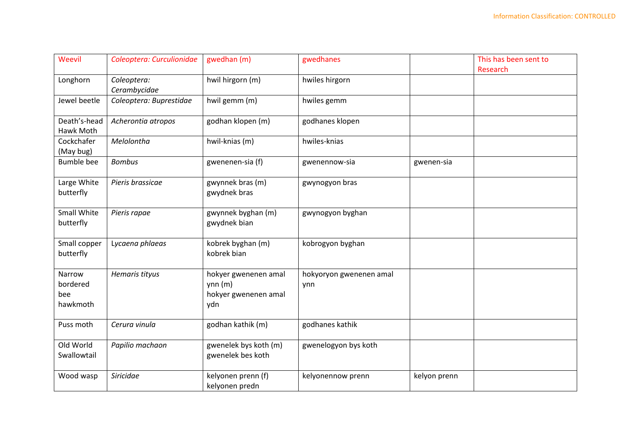| Weevil             | Coleoptera: Curculionidae | gwedhan (m)           | gwedhanes               |              | This has been sent to |
|--------------------|---------------------------|-----------------------|-------------------------|--------------|-----------------------|
|                    |                           |                       |                         |              | Research              |
| Longhorn           | Coleoptera:               | hwil hirgorn (m)      | hwiles hirgorn          |              |                       |
|                    | Cerambycidae              |                       |                         |              |                       |
| Jewel beetle       | Coleoptera: Buprestidae   | hwil gemm (m)         | hwiles gemm             |              |                       |
| Death's-head       | Acherontia atropos        | godhan klopen (m)     | godhanes klopen         |              |                       |
| Hawk Moth          |                           |                       |                         |              |                       |
| Cockchafer         | Melolontha                | hwil-knias (m)        | hwiles-knias            |              |                       |
| (May bug)          |                           |                       |                         |              |                       |
| <b>Bumble bee</b>  | <b>Bombus</b>             | gwenenen-sia (f)      | gwenennow-sia           | gwenen-sia   |                       |
| Large White        | Pieris brassicae          | gwynnek bras (m)      | gwynogyon bras          |              |                       |
| butterfly          |                           | gwydnek bras          |                         |              |                       |
|                    |                           |                       |                         |              |                       |
| <b>Small White</b> | Pieris rapae              | gwynnek byghan (m)    | gwynogyon byghan        |              |                       |
| butterfly          |                           | gwydnek bian          |                         |              |                       |
|                    |                           |                       |                         |              |                       |
| Small copper       | Lycaena phlaeas           | kobrek byghan (m)     | kobrogyon byghan        |              |                       |
| butterfly          |                           | kobrek bian           |                         |              |                       |
|                    |                           |                       |                         |              |                       |
| Narrow             | Hemaris tityus            | hokyer gwenenen amal  | hokyoryon gwenenen amal |              |                       |
| bordered           |                           | ynn(m)                | ynn                     |              |                       |
| bee                |                           | hokyer gwenenen amal  |                         |              |                       |
| hawkmoth           |                           | ydn                   |                         |              |                       |
|                    |                           |                       |                         |              |                       |
| Puss moth          | Cerura vinula             | godhan kathik (m)     | godhanes kathik         |              |                       |
|                    |                           |                       |                         |              |                       |
| Old World          | Papilio machaon           | gwenelek bys koth (m) | gwenelogyon bys koth    |              |                       |
| Swallowtail        |                           | gwenelek bes koth     |                         |              |                       |
|                    |                           |                       |                         |              |                       |
| Wood wasp          | Siricidae                 | kelyonen prenn (f)    | kelyonennow prenn       | kelyon prenn |                       |
|                    |                           | kelyonen predn        |                         |              |                       |